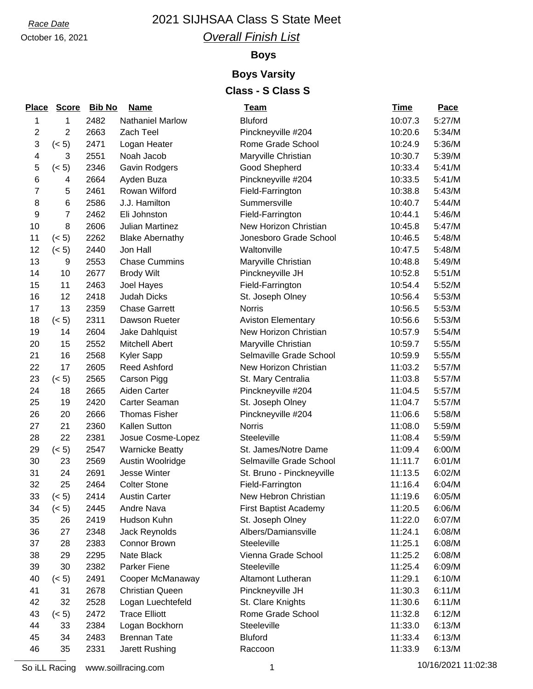# October 16, 2021

## *Race Date* 2021 SIJHSAA Class S State Meet *Overall Finish List*

## **Boys**

### **Boys Varsity Class - S Class S**

| <b>Place</b>   | <b>Score</b>   | <b>Bib No</b> | <b>Name</b>             | <u>Team</u>                  | <b>Time</b> | Pace   |
|----------------|----------------|---------------|-------------------------|------------------------------|-------------|--------|
| 1              | 1              | 2482          | <b>Nathaniel Marlow</b> | <b>Bluford</b>               | 10:07.3     | 5:27/M |
| $\overline{2}$ | 2              | 2663          | Zach Teel               | Pinckneyville #204           | 10:20.6     | 5:34/M |
| 3              | (< 5)          | 2471          | Logan Heater            | Rome Grade School            | 10:24.9     | 5:36/M |
| 4              | 3              | 2551          | Noah Jacob              | Maryville Christian          | 10:30.7     | 5:39/M |
| 5              | (< 5)          | 2346          | Gavin Rodgers           | Good Shepherd                | 10:33.4     | 5:41/M |
| 6              | 4              | 2664          | Ayden Buza              | Pinckneyville #204           | 10:33.5     | 5:41/M |
| 7              | 5              | 2461          | Rowan Wilford           | Field-Farrington             | 10:38.8     | 5:43/M |
| 8              | 6              | 2586          | J.J. Hamilton           | Summersville                 | 10:40.7     | 5:44/M |
| 9              | $\overline{7}$ | 2462          | Eli Johnston            | Field-Farrington             | 10:44.1     | 5:46/M |
| 10             | 8              | 2606          | Julian Martinez         | New Horizon Christian        | 10:45.8     | 5:47/M |
| 11             | (< 5)          | 2262          | <b>Blake Abernathy</b>  | Jonesboro Grade School       | 10:46.5     | 5:48/M |
| 12             | (< 5)          | 2440          | Jon Hall                | Waltonville                  | 10:47.5     | 5:48/M |
| 13             | 9              | 2553          | <b>Chase Cummins</b>    | Maryville Christian          | 10:48.8     | 5:49/M |
| 14             | 10             | 2677          | <b>Brody Wilt</b>       | Pinckneyville JH             | 10:52.8     | 5:51/M |
| 15             | 11             | 2463          | Joel Hayes              | Field-Farrington             | 10:54.4     | 5:52/M |
| 16             | 12             | 2418          | <b>Judah Dicks</b>      | St. Joseph Olney             | 10:56.4     | 5:53/M |
| 17             | 13             | 2359          | <b>Chase Garrett</b>    | <b>Norris</b>                | 10:56.5     | 5:53/M |
| 18             | (< 5)          | 2311          | Dawson Rueter           | <b>Aviston Elementary</b>    | 10:56.6     | 5:53/M |
| 19             | 14             | 2604          | Jake Dahlquist          | New Horizon Christian        | 10:57.9     | 5:54/M |
| 20             | 15             | 2552          | <b>Mitchell Abert</b>   | Maryville Christian          | 10:59.7     | 5:55/M |
| 21             | 16             | 2568          | <b>Kyler Sapp</b>       | Selmaville Grade School      | 10:59.9     | 5:55/M |
| 22             | 17             | 2605          | <b>Reed Ashford</b>     | New Horizon Christian        | 11:03.2     | 5:57/M |
| 23             | (< 5)          | 2565          | Carson Pigg             | St. Mary Centralia           | 11:03.8     | 5:57/M |
| 24             | 18             | 2665          | Aiden Carter            | Pinckneyville #204           | 11:04.5     | 5:57/M |
| 25             | 19             | 2420          | Carter Seaman           | St. Joseph Olney             | 11:04.7     | 5:57/M |
| 26             | 20             | 2666          | <b>Thomas Fisher</b>    | Pinckneyville #204           | 11:06.6     | 5:58/M |
| 27             | 21             | 2360          | Kallen Sutton           | <b>Norris</b>                | 11:08.0     | 5:59/M |
| 28             | 22             | 2381          | Josue Cosme-Lopez       | Steeleville                  | 11:08.4     | 5:59/M |
| 29             | (< 5)          | 2547          | <b>Warnicke Beatty</b>  | St. James/Notre Dame         | 11:09.4     | 6:00/M |
| 30             | 23             | 2569          | Austin Woolridge        | Selmaville Grade School      | 11:11.7     | 6:01/M |
| 31             | 24             | 2691          | <b>Jesse Winter</b>     | St. Bruno - Pinckneyville    | 11:13.5     | 6:02/M |
| 32             | 25             | 2464          | <b>Colter Stone</b>     | Field-Farrington             | 11:16.4     | 6:04/M |
| 33             | (< 5)          | 2414          | <b>Austin Carter</b>    | New Hebron Christian         | 11:19.6     | 6:05/M |
| 34             | (< 5)          | 2445          | Andre Nava              | <b>First Baptist Academy</b> | 11:20.5     | 6:06/M |
| 35             | 26             | 2419          | Hudson Kuhn             | St. Joseph Olney             | 11:22.0     | 6:07/M |
| 36             | 27             | 2348          | Jack Reynolds           | Albers/Damiansville          | 11:24.1     | 6:08/M |
| 37             | 28             | 2383          | <b>Connor Brown</b>     | Steeleville                  | 11:25.1     | 6:08/M |
| 38             | 29             | 2295          | Nate Black              | Vienna Grade School          | 11:25.2     | 6:08/M |
| 39             | 30             | 2382          | Parker Fiene            | Steeleville                  | 11:25.4     | 6:09/M |
| 40             | (< 5)          | 2491          | Cooper McManaway        | <b>Altamont Lutheran</b>     | 11:29.1     | 6:10/M |
| 41             | 31             | 2678          | <b>Christian Queen</b>  | Pinckneyville JH             | 11:30.3     | 6:11/M |
| 42             | 32             | 2528          | Logan Luechtefeld       | St. Clare Knights            | 11:30.6     | 6:11/M |
| 43             | (< 5)          | 2472          | <b>Trace Elliott</b>    | Rome Grade School            | 11:32.8     | 6:12/M |
| 44             | 33             | 2384          | Logan Bockhorn          | Steeleville                  | 11:33.0     | 6:13/M |
| 45             | 34             | 2483          | <b>Brennan Tate</b>     | <b>Bluford</b>               | 11:33.4     | 6:13/M |
| 46             | 35             | 2331          | Jarett Rushing          | Raccoon                      | 11:33.9     | 6:13/M |

So iLL Racing www.soillracing.com 1 1 10/16/2021 11:02:38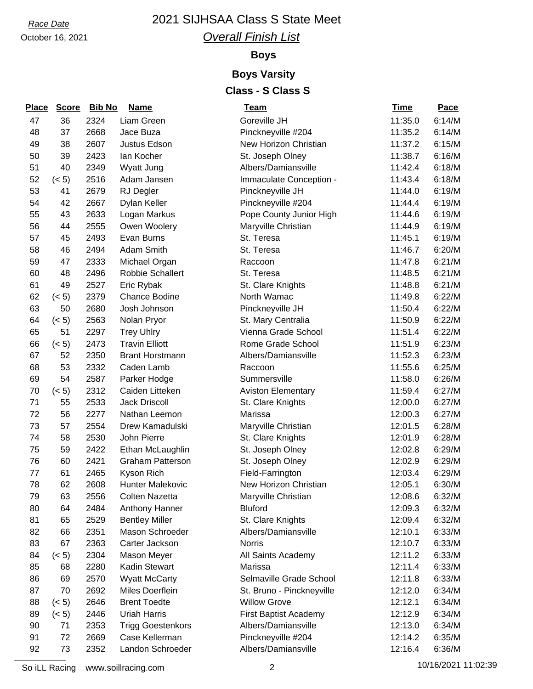October 16, 2021

### *Overall Finish List*

#### **Boys**

# **Boys Varsity**

## **Class - S Class S**

| <u>Place</u> | <b>Score</b> | <b>Bib No</b> | <b>Name</b>              | <u>Team</u>                  | <u>Time</u> | <b>Pace</b> |
|--------------|--------------|---------------|--------------------------|------------------------------|-------------|-------------|
| 47           | 36           | 2324          | Liam Green               | Goreville JH                 | 11:35.0     | 6:14/M      |
| 48           | 37           | 2668          | Jace Buza                | Pinckneyville #204           | 11:35.2     | 6:14/M      |
| 49           | 38           | 2607          | Justus Edson             | New Horizon Christian        | 11:37.2     | 6:15/M      |
| 50           | 39           | 2423          | lan Kocher               | St. Joseph Olney             | 11:38.7     | 6:16/M      |
| 51           | 40           | 2349          | Wyatt Jung               | Albers/Damiansville          | 11:42.4     | 6:18/M      |
| 52           | (< 5)        | 2516          | Adam Jansen              | Immaculate Conception -      | 11:43.4     | 6:18/M      |
| 53           | 41           | 2679          | <b>RJ</b> Degler         | Pinckneyville JH             | 11:44.0     | 6:19/M      |
| 54           | 42           | 2667          | Dylan Keller             | Pinckneyville #204           | 11:44.4     | 6:19/M      |
| 55           | 43           | 2633          | Logan Markus             | Pope County Junior High      | 11:44.6     | 6:19/M      |
| 56           | 44           | 2555          | Owen Woolery             | Maryville Christian          | 11:44.9     | 6:19/M      |
| 57           | 45           | 2493          | Evan Burns               | St. Teresa                   | 11:45.1     | 6:19/M      |
| 58           | 46           | 2494          | Adam Smith               | St. Teresa                   | 11:46.7     | 6:20/M      |
| 59           | 47           | 2333          | Michael Organ            | Raccoon                      | 11:47.8     | 6:21/M      |
| 60           | 48           | 2496          | Robbie Schallert         | St. Teresa                   | 11:48.5     | 6:21/M      |
| 61           | 49           | 2527          | Eric Rybak               | St. Clare Knights            | 11:48.8     | 6:21/M      |
| 62           | (< 5)        | 2379          | <b>Chance Bodine</b>     | North Wamac                  | 11:49.8     | 6:22/M      |
| 63           | 50           | 2680          | Josh Johnson             | Pinckneyville JH             | 11:50.4     | 6:22/M      |
| 64           | (< 5)        | 2563          | Nolan Pryor              | St. Mary Centralia           | 11:50.9     | 6:22/M      |
| 65           | 51           | 2297          | <b>Trey Uhlry</b>        | Vienna Grade School          | 11:51.4     | 6:22/M      |
| 66           | (< 5)        | 2473          | <b>Travin Elliott</b>    | Rome Grade School            | 11:51.9     | 6:23/M      |
| 67           | 52           | 2350          | <b>Brant Horstmann</b>   | Albers/Damiansville          | 11:52.3     | 6:23/M      |
| 68           | 53           | 2332          | Caden Lamb               | Raccoon                      | 11:55.6     | 6:25/M      |
| 69           | 54           | 2587          | Parker Hodge             | Summersville                 | 11:58.0     | 6:26/M      |
| 70           | (< 5)        | 2312          | Caiden Litteken          | <b>Aviston Elementary</b>    | 11:59.4     | 6:27/M      |
| 71           | 55           | 2533          | <b>Jack Driscoll</b>     | St. Clare Knights            | 12:00.0     | 6:27/M      |
| 72           | 56           | 2277          | Nathan Leemon            | Marissa                      | 12:00.3     | 6:27/M      |
| 73           | 57           | 2554          | Drew Kamadulski          | Maryville Christian          | 12:01.5     | 6:28/M      |
| 74           | 58           | 2530          | John Pierre              | St. Clare Knights            | 12:01.9     | 6:28/M      |
| 75           | 59           | 2422          | Ethan McLaughlin         | St. Joseph Olney             | 12:02.8     | 6:29/M      |
| 76           | 60           | 2421          | <b>Graham Patterson</b>  | St. Joseph Olney             | 12:02.9     | 6:29/M      |
| 77           | 61           | 2465          | Kyson Rich               | Field-Farrington             | 12:03.4     | 6:29/M      |
| 78           | 62           | 2608          | Hunter Malekovic         | New Horizon Christian        | 12:05.1     | 6:30/M      |
| 79           | 63           | 2556          | <b>Colten Nazetta</b>    | Maryville Christian          | 12:08.6     | 6:32/M      |
| 80           | 64           | 2484          | Anthony Hanner           | <b>Bluford</b>               | 12:09.3     | 6:32/M      |
| 81           | 65           | 2529          | <b>Bentley Miller</b>    | St. Clare Knights            | 12:09.4     | 6:32/M      |
| 82           | 66           | 2351          | Mason Schroeder          | Albers/Damiansville          | 12:10.1     | 6:33/M      |
| 83           | 67           | 2363          | Carter Jackson           | <b>Norris</b>                | 12:10.7     | 6:33/M      |
| 84           | (< 5)        | 2304          | Mason Meyer              | All Saints Academy           | 12:11.2     | 6:33/M      |
| 85           | 68           | 2280          | Kadin Stewart            | Marissa                      | 12:11.4     | 6:33/M      |
| 86           | 69           | 2570          | <b>Wyatt McCarty</b>     | Selmaville Grade School      | 12:11.8     | 6:33/M      |
| 87           | 70           | 2692          | Miles Doerflein          | St. Bruno - Pinckneyville    | 12:12.0     | 6:34/M      |
| 88           | (< 5)        | 2646          | <b>Brent Toedte</b>      | <b>Willow Grove</b>          | 12:12.1     | 6:34/M      |
| 89           | (< 5)        | 2446          | <b>Uriah Harris</b>      | <b>First Baptist Academy</b> | 12:12.9     | 6:34/M      |
| 90           | 71           | 2353          | <b>Trigg Goestenkors</b> | Albers/Damiansville          | 12:13.0     | 6:34/M      |
| 91           | 72           | 2669          | Case Kellerman           | Pinckneyville #204           | 12:14.2     | 6:35/M      |
| 92           | 73           | 2352          | Landon Schroeder         | Albers/Damiansville          | 12:16.4     | 6:36/M      |

So iLL Racing www.soillracing.com 2 2 10/16/2021 11:02:39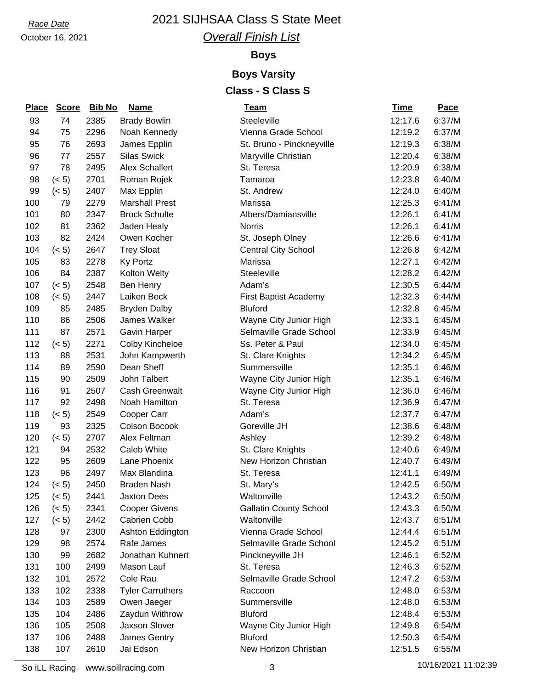October 16, 2021

## *Overall Finish List*

#### **Boys**

## **Boys Varsity**

## **Class - S Class S**

| <b>Place</b> | <b>Score</b> | <b>Bib No</b> | <b>Name</b>             | <u>Team</u>                   | Time    | Pace   |
|--------------|--------------|---------------|-------------------------|-------------------------------|---------|--------|
| 93           | 74           | 2385          | <b>Brady Bowlin</b>     | Steeleville                   | 12:17.6 | 6:37/M |
| 94           | 75           | 2296          | Noah Kennedy            | Vienna Grade School           | 12:19.2 | 6:37/M |
| 95           | 76           | 2693          | James Epplin            | St. Bruno - Pinckneyville     | 12:19.3 | 6:38/M |
| 96           | 77           | 2557          | <b>Silas Swick</b>      | Maryville Christian           | 12:20.4 | 6:38/M |
| 97           | 78           | 2495          | <b>Alex Schallert</b>   | St. Teresa                    | 12:20.9 | 6:38/M |
| 98           | (< 5)        | 2701          | Roman Rojek             | Tamaroa                       | 12:23.8 | 6:40/M |
| 99           | (< 5)        | 2407          | Max Epplin              | St. Andrew                    | 12:24.0 | 6:40/M |
| 100          | 79           | 2279          | <b>Marshall Prest</b>   | Marissa                       | 12:25.3 | 6:41/M |
| 101          | 80           | 2347          | <b>Brock Schulte</b>    | Albers/Damiansville           | 12:26.1 | 6:41/M |
| 102          | 81           | 2362          | Jaden Healy             | <b>Norris</b>                 | 12:26.1 | 6:41/M |
| 103          | 82           | 2424          | Owen Kocher             | St. Joseph Olney              | 12:26.6 | 6:41/M |
| 104          | (< 5)        | 2647          | <b>Trey Sloat</b>       | <b>Central City School</b>    | 12:26.8 | 6:42/M |
| 105          | 83           | 2278          | <b>Ky Portz</b>         | Marissa                       | 12:27.1 | 6:42/M |
| 106          | 84           | 2387          | Kolton Welty            | Steeleville                   | 12:28.2 | 6:42/M |
| 107          | (< 5)        | 2548          | Ben Henry               | Adam's                        | 12:30.5 | 6:44/M |
| 108          | (< 5)        | 2447          | Laiken Beck             | <b>First Baptist Academy</b>  | 12:32.3 | 6:44/M |
| 109          | 85           | 2485          | <b>Bryden Dalby</b>     | <b>Bluford</b>                | 12:32.8 | 6:45/M |
| 110          | 86           | 2506          | James Walker            | Wayne City Junior High        | 12:33.1 | 6:45/M |
| 111          | 87           | 2571          | <b>Gavin Harper</b>     | Selmaville Grade School       | 12:33.9 | 6:45/M |
| 112          | (< 5)        | 2271          | Colby Kincheloe         | Ss. Peter & Paul              | 12:34.0 | 6:45/M |
| 113          | 88           | 2531          | John Kampwerth          | St. Clare Knights             | 12:34.2 | 6:45/M |
| 114          | 89           | 2590          | Dean Sheff              | Summersville                  | 12:35.1 | 6:46/M |
| 115          | 90           | 2509          | John Talbert            | Wayne City Junior High        | 12:35.1 | 6:46/M |
| 116          | 91           | 2507          | Cash Greenwalt          | Wayne City Junior High        | 12:36.0 | 6:46/M |
| 117          | 92           | 2498          | Noah Hamilton           | St. Teresa                    | 12:36.9 | 6:47/M |
| 118          | (< 5)        | 2549          | Cooper Carr             | Adam's                        | 12:37.7 | 6:47/M |
| 119          | 93           | 2325          | Colson Bocook           | Goreville JH                  | 12:38.6 | 6:48/M |
| 120          | (< 5)        | 2707          | Alex Feltman            | Ashley                        | 12:39.2 | 6:48/M |
| 121          | 94           | 2532          | Caleb White             | St. Clare Knights             | 12:40.6 | 6:49/M |
| 122          | 95           | 2609          | Lane Phoenix            | New Horizon Christian         | 12:40.7 | 6:49/M |
| 123          | 96           | 2497          | Max Blandina            | St. Teresa                    | 12:41.1 | 6:49/M |
| 124          | (< 5)        | 2450          | <b>Braden Nash</b>      | St. Mary's                    | 12:42.5 | 6:50/M |
| 125          | (< 5)        | 2441          | <b>Jaxton Dees</b>      | Waltonville                   | 12:43.2 | 6:50/M |
| 126          | (< 5)        | 2341          | <b>Cooper Givens</b>    | <b>Gallatin County School</b> | 12:43.3 | 6:50/M |
| 127          | (< 5)        | 2442          | Cabrien Cobb            | Waltonville                   | 12:43.7 | 6:51/M |
| 128          | 97           | 2300          | Ashton Eddington        | Vienna Grade School           | 12:44.4 | 6:51/M |
| 129          | 98           | 2574          | Rafe James              | Selmaville Grade School       | 12:45.2 | 6:51/M |
| 130          | 99           | 2682          | Jonathan Kuhnert        | Pinckneyville JH              | 12:46.1 | 6:52/M |
| 131          | 100          | 2499          | Mason Lauf              | St. Teresa                    | 12:46.3 | 6:52/M |
| 132          | 101          | 2572          | Cole Rau                | Selmaville Grade School       | 12:47.2 | 6:53/M |
| 133          | 102          | 2338          | <b>Tyler Carruthers</b> | Raccoon                       | 12:48.0 | 6:53/M |
| 134          | 103          | 2589          | Owen Jaeger             | Summersville                  | 12:48.0 | 6:53/M |
| 135          | 104          | 2486          | Zaydun Withrow          | <b>Bluford</b>                | 12:48.4 | 6:53/M |
| 136          | 105          | 2508          | Jaxson Slover           | Wayne City Junior High        | 12:49.8 | 6:54/M |
| 137          | 106          | 2488          | James Gentry            | <b>Bluford</b>                | 12:50.3 | 6:54/M |
| 138          | 107          | 2610          | Jai Edson               | New Horizon Christian         | 12:51.5 | 6:55/M |

So iLL Racing www.soillracing.com 3 3 3 10/16/2021 11:02:39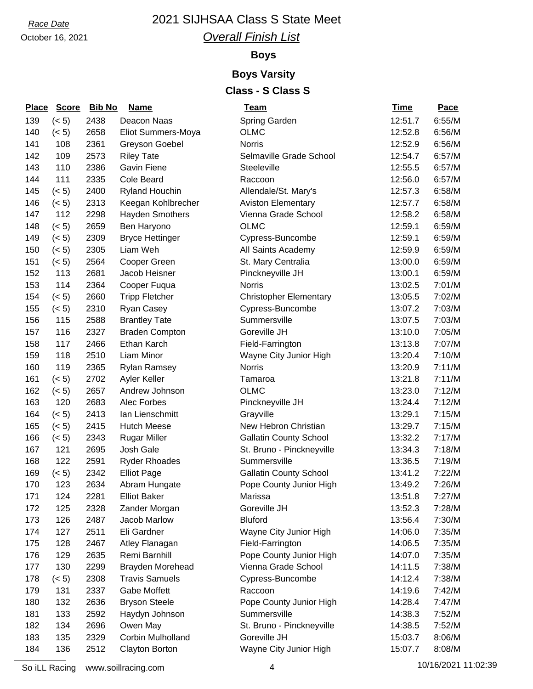October 16, 2021

## *Overall Finish List*

#### **Boys**

### **Boys Varsity Class - S Class S**

| <b>Place</b> | <b>Score</b> | <b>Bib No</b> | <b>Name</b>            | <u>Team</u>                   | <b>Time</b> | <b>Pace</b> |
|--------------|--------------|---------------|------------------------|-------------------------------|-------------|-------------|
| 139          | (< 5)        | 2438          | Deacon Naas            | Spring Garden                 | 12:51.7     | 6:55/M      |
| 140          | (< 5)        | 2658          | Eliot Summers-Moya     | <b>OLMC</b>                   | 12:52.8     | 6:56/M      |
| 141          | 108          | 2361          | Greyson Goebel         | <b>Norris</b>                 | 12:52.9     | 6:56/M      |
| 142          | 109          | 2573          | <b>Riley Tate</b>      | Selmaville Grade School       | 12:54.7     | 6:57/M      |
| 143          | 110          | 2386          | Gavin Fiene            | Steeleville                   | 12:55.5     | 6:57/M      |
| 144          | 111          | 2335          | <b>Cole Beard</b>      | Raccoon                       | 12:56.0     | 6:57/M      |
| 145          | (< 5)        | 2400          | <b>Ryland Houchin</b>  | Allendale/St. Mary's          | 12:57.3     | 6:58/M      |
| 146          | (< 5)        | 2313          | Keegan Kohlbrecher     | <b>Aviston Elementary</b>     | 12:57.7     | 6:58/M      |
| 147          | 112          | 2298          | <b>Hayden Smothers</b> | Vienna Grade School           | 12:58.2     | 6:58/M      |
| 148          | (< 5)        | 2659          | Ben Haryono            | <b>OLMC</b>                   | 12:59.1     | 6:59/M      |
| 149          | (< 5)        | 2309          | <b>Bryce Hettinger</b> | Cypress-Buncombe              | 12:59.1     | 6:59/M      |
| 150          | (< 5)        | 2305          | Liam Weh               | All Saints Academy            | 12:59.9     | 6:59/M      |
| 151          | (< 5)        | 2564          | Cooper Green           | St. Mary Centralia            | 13:00.0     | 6:59/M      |
| 152          | 113          | 2681          | Jacob Heisner          | Pinckneyville JH              | 13:00.1     | 6:59/M      |
| 153          | 114          | 2364          | Cooper Fuqua           | <b>Norris</b>                 | 13:02.5     | 7:01/M      |
| 154          | (< 5)        | 2660          | <b>Tripp Fletcher</b>  | <b>Christopher Elementary</b> | 13:05.5     | 7:02/M      |
| 155          | (< 5)        | 2310          | Ryan Casey             | Cypress-Buncombe              | 13:07.2     | 7:03/M      |
| 156          | 115          | 2588          | <b>Brantley Tate</b>   | Summersville                  | 13:07.5     | 7:03/M      |
| 157          | 116          | 2327          | <b>Braden Compton</b>  | Goreville JH                  | 13:10.0     | 7:05/M      |
| 158          | 117          | 2466          | Ethan Karch            | Field-Farrington              | 13:13.8     | 7:07/M      |
| 159          | 118          | 2510          | Liam Minor             | Wayne City Junior High        | 13:20.4     | 7:10/M      |
| 160          | 119          | 2365          | <b>Rylan Ramsey</b>    | <b>Norris</b>                 | 13:20.9     | 7:11/M      |
| 161          | (< 5)        | 2702          | Ayler Keller           | Tamaroa                       | 13:21.8     | 7:11/M      |
| 162          | (< 5)        | 2657          | Andrew Johnson         | <b>OLMC</b>                   | 13:23.0     | 7:12/M      |
| 163          | 120          | 2683          | Alec Forbes            | Pinckneyville JH              | 13:24.4     | 7:12/M      |
| 164          | (< 5)        | 2413          | Ian Lienschmitt        | Grayville                     | 13:29.1     | 7:15/M      |
| 165          | (< 5)        | 2415          | <b>Hutch Meese</b>     | New Hebron Christian          | 13:29.7     | 7:15/M      |
| 166          | (< 5)        | 2343          | <b>Rugar Miller</b>    | <b>Gallatin County School</b> | 13:32.2     | 7:17/M      |
| 167          | 121          | 2695          | Josh Gale              | St. Bruno - Pinckneyville     | 13:34.3     | 7:18/M      |
| 168          | 122          | 2591          | <b>Ryder Rhoades</b>   | Summersville                  | 13:36.5     | 7:19/M      |
| 169          | (< 5)        | 2342          | <b>Elliot Page</b>     | <b>Gallatin County School</b> | 13:41.2     | 7:22/M      |
| 170          | 123          | 2634          | Abram Hungate          | Pope County Junior High       | 13:49.2     | 7:26/M      |
| 171          | 124          | 2281          | <b>Elliot Baker</b>    | Marissa                       | 13:51.8     | 7:27/M      |
| 172          | 125          | 2328          | Zander Morgan          | Goreville JH                  | 13:52.3     | 7:28/M      |
| 173          | 126          | 2487          | Jacob Marlow           | <b>Bluford</b>                | 13:56.4     | 7:30/M      |
| 174          | 127          | 2511          | Eli Gardner            | Wayne City Junior High        | 14:06.0     | 7:35/M      |
| 175          | 128          | 2467          | Atley Flanagan         | Field-Farrington              | 14:06.5     | 7:35/M      |
| 176          | 129          | 2635          | Remi Barnhill          | Pope County Junior High       | 14:07.0     | 7:35/M      |
| 177          | 130          | 2299          | Brayden Morehead       | Vienna Grade School           | 14:11.5     | 7:38/M      |
| 178          | (< 5)        | 2308          | <b>Travis Samuels</b>  | Cypress-Buncombe              | 14:12.4     | 7:38/M      |
| 179          | 131          | 2337          | Gabe Moffett           | Raccoon                       | 14:19.6     | 7:42/M      |
| 180          | 132          | 2636          | <b>Bryson Steele</b>   | Pope County Junior High       | 14:28.4     | 7:47/M      |
| 181          | 133          | 2592          | Haydyn Johnson         | Summersville                  | 14:38.3     | 7:52/M      |
| 182          | 134          | 2696          | Owen May               | St. Bruno - Pinckneyville     | 14:38.5     | 7:52/M      |
| 183          | 135          | 2329          | Corbin Mulholland      | Goreville JH                  | 15:03.7     | 8:06/M      |
| 184          | 136          | 2512          | Clayton Borton         | Wayne City Junior High        | 15:07.7     | 8:08/M      |

So iLL Racing www.soillracing.com 4 10/16/2021 11:02:39